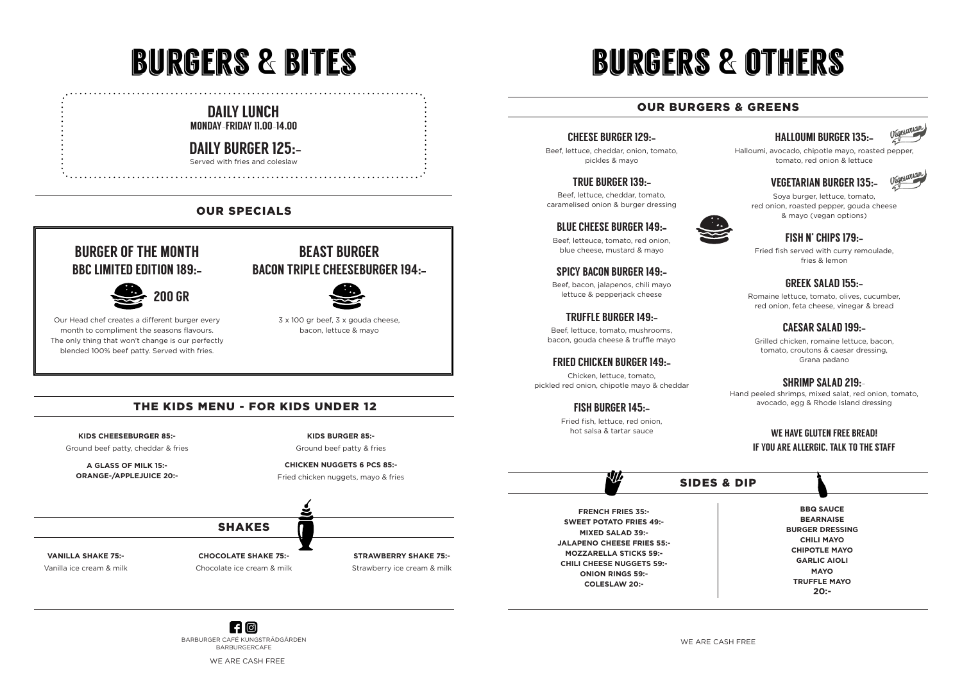# burgers & others

#### SIDES & DIP

#### CHEESE BURGER 129:-

Beef, lettuce, cheddar, onion, tomato, pickles & mayo

#### TRUE BURGER 139:-

Beef, lettuce, cheddar, tomato, caramelised onion & burger dressing



#### BLUE CHEESE BURGER 149:-

Beef, letteuce, tomato, red onion, blue cheese, mustard & mayo

#### SPICY BACON BURGER 149:-

Beef, bacon, jalapenos, chili mayo lettuce & pepperjack cheese

#### TRUFFLE BURGER 149:-

Beef, lettuce, tomato, mushrooms, bacon, gouda cheese & truffle mayo

#### FRIED CHICKEN BURGER 149:-

Chicken, lettuce, tomato, pickled red onion, chipotle mayo & cheddar

#### FISH BURGER 145:-

Fried fish, lettuce, red onion, hot salsa & tartar sauce

**N/** 

### HALLOUMI BURGER 135:-



Halloumi, avocado, chipotle mayo, roasted pepper, tomato, red onion & lettuce

#### VEGETARIAN BURGER 135:-



Soya burger, lettuce, tomato, red onion, roasted pepper, gouda cheese & mayo (vegan options)



#### FISH N' CHIPS 179:-

Fried fish served with curry remoulade, fries & lemon

#### GREEK SALAD 155:-

Romaine lettuce, tomato, olives, cucumber, red onion, feta cheese, vinegar & bread

### CAESAR SALAD 199:-

Grilled chicken, romaine lettuce, bacon, tomato, croutons & caesar dressing, Grana padano

#### SHRIMP SALAD 219:-

Hand peeled shrimps, mixed salat, red onion, tomato, avocado, egg & Rhode Island dressing

#### WE HAVE GLUTEN FREE BREAD! IF YOU ARE ALLERGIC, TALK TO THE STAFF

#### OUR BURGERS & GREENS

 $H$   $\odot$ BARBURGER CAFÉ KUNGSTRÄDGÅRDEN BARBURGERCAFE

**FRENCH FRIES 35:- SWEET POTATO FRIES 49:- MIXED SALAD 39:- JALAPENO CHEESE FRIES 55:- MOZZARELLA STICKS 59:- CHILI CHEESE NUGGETS 59:- ONION RINGS 59:- COLESLAW 20:-**

**BBQ SAUCE BEARNAISE BURGER DRESSING CHILI MAYO CHIPOTLE MAYO GARLIC AIOLI MAYO TRUFFLE MAYO 20:-**

#### DAILY LUNCH MONDAY–FRIDAY 11.00–14.00

## DAILY BURGER 125:-

Served with fries and coleslaw

# burgers & bites

**KIDS CHEESEBURGER 85:-**

Ground beef patty, cheddar & fries

**A GLASS OF MILK 15:- ORANGE-/APPLEJUICE 20:-**



**CHICKEN NUGGETS 6 PCS 85:-** Fried chicken nuggets, mayo & fries

### THE KIDS MENU - FOR KIDS UNDER 12

## BURGER OF THE MONTH BBC LIMITED EDITION 189:-

Our Head chef creates a different burger every month to compliment the seasons flavours. The only thing that won't change is our perfectly blended 100% beef patty. Served with fries.

# BEAST BURGER BACON TRIPLE CHEESEBURGER 194:-



3 x 100 gr beef, 3 x gouda cheese, bacon, lettuce & mayo

### OUR SPECIALS